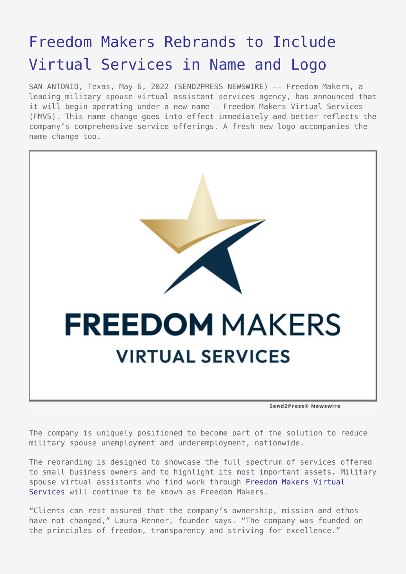## [Freedom Makers Rebrands to Include](https://www.send2press.com/wire/freedom-makers-rebrands-to-include-virtual-services-in-name-and-logo/) [Virtual Services in Name and Logo](https://www.send2press.com/wire/freedom-makers-rebrands-to-include-virtual-services-in-name-and-logo/)

SAN ANTONIO, Texas, May 6, 2022 (SEND2PRESS NEWSWIRE) –- Freedom Makers, a leading military spouse virtual assistant services agency, has announced that it will begin operating under a new name – Freedom Makers Virtual Services (FMVS). This name change goes into effect immediately and better reflects the company's comprehensive service offerings. A fresh new logo accompanies the name change too.



Send2Press® Newswire

The company is uniquely positioned to become part of the solution to reduce military spouse unemployment and underemployment, nationwide.

The rebranding is designed to showcase the full spectrum of services offered to small business owners and to highlight its most important assets. Military spouse virtual assistants who find work through [Freedom Makers Virtual](https://www.freedom-makers.com/) [Services](https://www.freedom-makers.com/) will continue to be known as Freedom Makers.

"Clients can rest assured that the company's ownership, mission and ethos have not changed," Laura Renner, founder says. "The company was founded on the principles of freedom, transparency and striving for excellence."